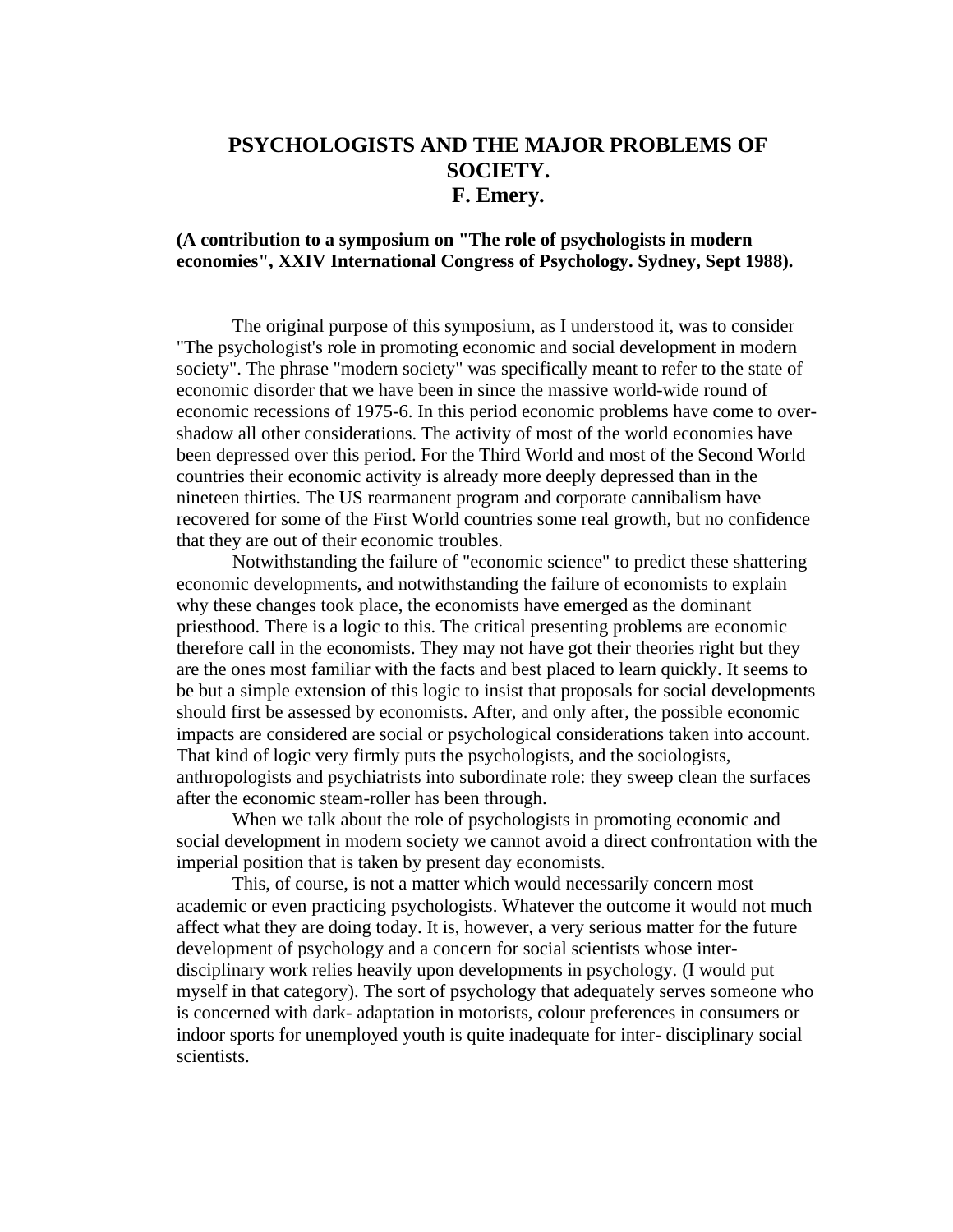## **PSYCHOLOGISTS AND THE MAJOR PROBLEMS OF SOCIETY. F. Emery.**

## **(A contribution to a symposium on "The role of psychologists in modern economies", XXIV International Congress of Psychology. Sydney, Sept 1988).**

The original purpose of this symposium, as I understood it, was to consider "The psychologist's role in promoting economic and social development in modern society". The phrase "modern society" was specifically meant to refer to the state of economic disorder that we have been in since the massive world-wide round of economic recessions of 1975-6. In this period economic problems have come to overshadow all other considerations. The activity of most of the world economies have been depressed over this period. For the Third World and most of the Second World countries their economic activity is already more deeply depressed than in the nineteen thirties. The US rearmanent program and corporate cannibalism have recovered for some of the First World countries some real growth, but no confidence that they are out of their economic troubles.

Notwithstanding the failure of "economic science" to predict these shattering economic developments, and notwithstanding the failure of economists to explain why these changes took place, the economists have emerged as the dominant priesthood. There is a logic to this. The critical presenting problems are economic therefore call in the economists. They may not have got their theories right but they are the ones most familiar with the facts and best placed to learn quickly. It seems to be but a simple extension of this logic to insist that proposals for social developments should first be assessed by economists. After, and only after, the possible economic impacts are considered are social or psychological considerations taken into account. That kind of logic very firmly puts the psychologists, and the sociologists, anthropologists and psychiatrists into subordinate role: they sweep clean the surfaces after the economic steam-roller has been through.

When we talk about the role of psychologists in promoting economic and social development in modern society we cannot avoid a direct confrontation with the imperial position that is taken by present day economists.

This, of course, is not a matter which would necessarily concern most academic or even practicing psychologists. Whatever the outcome it would not much affect what they are doing today. It is, however, a very serious matter for the future development of psychology and a concern for social scientists whose interdisciplinary work relies heavily upon developments in psychology. (I would put myself in that category). The sort of psychology that adequately serves someone who is concerned with dark- adaptation in motorists, colour preferences in consumers or indoor sports for unemployed youth is quite inadequate for inter- disciplinary social scientists.